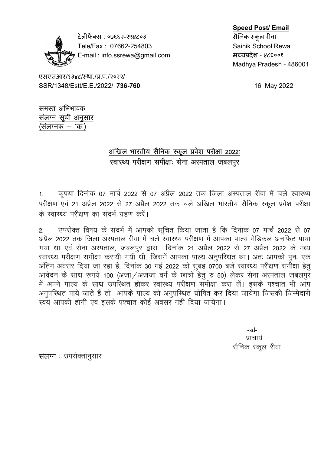

टेलीफैक्स : ०७६६२-२५४८०३ सिलिक स्कूल रीवा Tele/Fax: 07662-254803 Sainik School Rewa E-mail : info.ssrewa@gmail.com = मध्यप्रदेश - ४८६००१

## Speed Post/ Email

Madhya Pradesh - 486001

एसएसआर/१३४८/स्था./प्र.प./२०२२/ SSR/1348/Estt/E.E./2022/ 736-760 16 May 2022

समस्त अभिभावक संलग्न सूची अनुसार (संलग्नक $-$ 'क')

## <u>अखिल भारतीय सैनिक स्कू</u>ल प्रवेश परीक्षा 2022: स्वास्थ्य परीक्षण समीक्षाः सेना अस्पताल जबलपुर

1. कृपया दिनांक 07 मार्च 2022 से 07 अप्रैल 2022 तक जिला अस्पताल रीवा में चले स्वास्थ्य परीक्षण एवं 21 अप्रैल 2022 से 27 अप्रैल 2022 तक चले अखिल भारतीय सैनिक स्कूल प्रवेश परीक्षा के स्वास्थ्य परीक्षण का संदर्भ ग्रहण करें।

2. उपरोक्त विषय के संदर्भ में आपको सूचित किया जाता है कि दिनांक 07 मार्च 2022 से 07 अप्रैल 2022 तक जिला अस्पताल रीवा में चले स्वास्थ्य परीक्षण में आपका पाल्य मेडिकल अनफिट पाया गया था एवं सेना अस्पताल, जबलपुर द्वारा दिनांक 21 अप्रैल 2022 से 27 अप्रैल 2022 के मध्य स्वास्थ्य परीक्षण समीक्षा करायी गयी थी, जिसमें आपका पाल्य अनुपरिथत था। अतः आपको पुनः एक अंतिम अवसर दिया जा रहा है, दिनांक 30 मई 2022 को सुबह 0700 बजे स्वास्थ्य परीक्षण समीक्षा हेतु आवेदन के साथ रूपये 100 (अजा / अजजा वर्ग के छात्रों हेतु रु 50) लेकर सेना अस्पताल जबलपुर में अपने पाल्य के साथ उपरिथत होकर स्वास्थ्य परीक्षण समीक्षा करा लें। इसके पश्चात भी आप अनुपस्थित पाये जाते हैं तो आपके पाल्य को अनुपस्थित घोषित कर दिया जायेगा जिसकी जिम्मेदारी ्<br>स्वयं आपकी होगी एवं इसके पश्चात कोई अवसर नहीं दिया जायेगा।

-sd- <u>izko eta aldean dauen bizko bat zen bizko bat zen bizko bat zen bizko bat zen bizko bat zen bizko bat zen biz</u> सैनिक स्कूल रीवा

संलग्न $\pm$  उपरोक्तानुसार